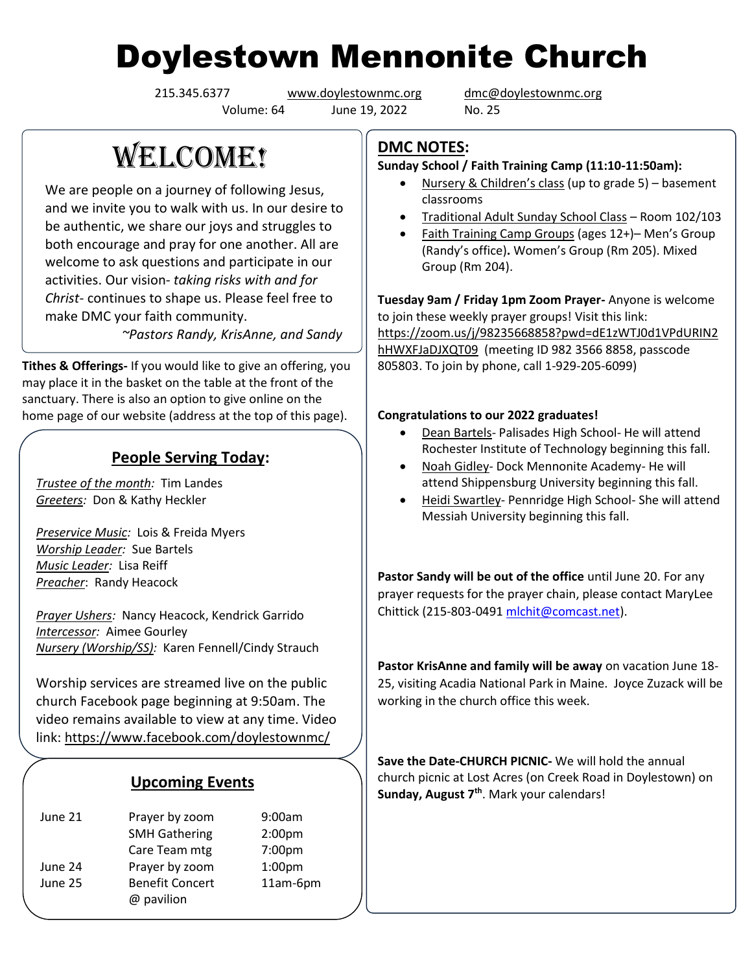# Doylestown Mennonite Church

Volume: 64 June 19, 2022 No. 25

215.345.6377 [www.doylestownmc.org](http://www.doylestownmc.org/) [dmc@doylestownmc.org](mailto:dmc@doylestownmc.org)

## **WELCOME!**

We are people on a journey of following Jesus, and we invite you to walk with us. In our desire to be authentic, we share our joys and struggles to both encourage and pray for one another. All are welcome to ask questions and participate in our activities. Our vision- *taking risks with and for Christ*- continues to shape us. Please feel free to make DMC your faith community.

 *~Pastors Randy, KrisAnne, and Sandy*

**Tithes & Offerings-** If you would like to give an offering, you may place it in the basket on the table at the front of the sanctuary. There is also an option to give online on the home page of our website (address at the top of this page).

## **People Serving Today:**

*Trustee of the month:* Tim Landes *Greeters:* Don & Kathy Heckler

*Preservice Music:* Lois & Freida Myers *Worship Leader:* Sue Bartels *Music Leader:* Lisa Reiff *Preacher*: Randy Heacock

*Prayer Ushers:* Nancy Heacock, Kendrick Garrido *Intercessor:* Aimee Gourley *Nursery (Worship/SS):* Karen Fennell/Cindy Strauch

Worship services are streamed live on the public church Facebook page beginning at 9:50am. The video remains available to view at any time. Video link: <https://www.facebook.com/doylestownmc/>

#### **Upcoming Events**

| June 21 | Prayer by zoom         | 9:00am             |
|---------|------------------------|--------------------|
|         | <b>SMH Gathering</b>   | 2:00 <sub>pm</sub> |
|         | Care Team mtg          | 7:00pm             |
| June 24 | Prayer by zoom         | 1:00 <sub>pm</sub> |
| June 25 | <b>Benefit Concert</b> | 11am-6pm           |
|         | @ pavilion             |                    |

### **DMC NOTES:**

#### **Sunday School / Faith Training Camp (11:10-11:50am):**

- Nursery & Children's class (up to grade 5) basement classrooms
- Traditional Adult Sunday School Class Room 102/103
- Faith Training Camp Groups (ages 12+)– Men's Group (Randy's office)**.** Women's Group (Rm 205). Mixed Group (Rm 204).

**Tuesday 9am / Friday 1pm Zoom Prayer-** Anyone is welcome to join these weekly prayer groups! Visit this link: [https://zoom.us/j/98235668858?pwd=dE1zWTJ0d1VPdURIN2](https://zoom.us/j/98235668858?pwd=dE1zWTJ0d1VPdURIN2hHWXFJaDJXQT09) [hHWXFJaDJXQT09](https://zoom.us/j/98235668858?pwd=dE1zWTJ0d1VPdURIN2hHWXFJaDJXQT09) (meeting ID 982 3566 8858, passcode 805803. To join by phone, call 1-929-205-6099)

#### **Congratulations to our 2022 graduates!**

- Dean Bartels- Palisades High School- He will attend Rochester Institute of Technology beginning this fall.
- Noah Gidley- Dock Mennonite Academy- He will attend Shippensburg University beginning this fall.
- Heidi Swartley- Pennridge High School- She will attend Messiah University beginning this fall.

**Pastor Sandy will be out of the office** until June 20. For any prayer requests for the prayer chain, please contact MaryLee Chittick (215-803-0491 [mlchit@comcast.net\)](mailto:mlchit@comcast.net).

**Pastor KrisAnne and family will be away** on vacation June 18- 25, visiting Acadia National Park in Maine. Joyce Zuzack will be working in the church office this week.

**Save the Date-CHURCH PICNIC-** We will hold the annual church picnic at Lost Acres (on Creek Road in Doylestown) on **Sunday, August 7th**. Mark your calendars!